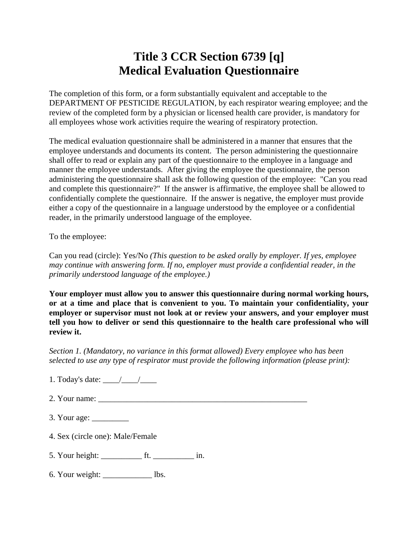## **Title 3 CCR Section 6739 [q] Medical Evaluation Questionnaire**

The completion of this form, or a form substantially equivalent and acceptable to the DEPARTMENT OF PESTICIDE REGULATION, by each respirator wearing employee; and the review of the completed form by a physician or licensed health care provider, is mandatory for all employees whose work activities require the wearing of respiratory protection.

The medical evaluation questionnaire shall be administered in a manner that ensures that the employee understands and documents its content. The person administering the questionnaire shall offer to read or explain any part of the questionnaire to the employee in a language and manner the employee understands. After giving the employee the questionnaire, the person administering the questionnaire shall ask the following question of the employee: "Can you read and complete this questionnaire?" If the answer is affirmative, the employee shall be allowed to confidentially complete the questionnaire. If the answer is negative, the employer must provide either a copy of the questionnaire in a language understood by the employee or a confidential reader, in the primarily understood language of the employee.

To the employee:

Can you read (circle): Yes/No *(This question to be asked orally by employer. If yes, employee may continue with answering form. If no, employer must provide a confidential reader, in the primarily understood language of the employee.)*

**Your employer must allow you to answer this questionnaire during normal working hours, or at a time and place that is convenient to you. To maintain your confidentiality, your employer or supervisor must not look at or review your answers, and your employer must tell you how to deliver or send this questionnaire to the health care professional who will review it.** 

*Section 1. (Mandatory, no variance in this format allowed) Every employee who has been selected to use any type of respirator must provide the following information (please print):* 

- 1. Today's date:  $\frac{\sqrt{2}}{2}$
- $2.$  Your name:
- 3. Your age: \_\_\_\_\_\_\_\_\_
- 4. Sex (circle one): Male/Female
- 5. Your height: \_\_\_\_\_\_\_\_\_\_ ft. \_\_\_\_\_\_\_\_\_\_ in.
- 6. Your weight: lbs.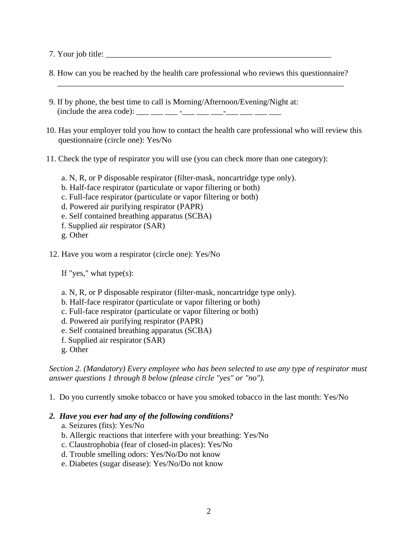- 7. Your job title:
- 8. How can you be reached by the health care professional who reviews this questionnaire?  $\overline{\phantom{a}}$  , and the contribution of the contribution of the contribution of the contribution of the contribution of the contribution of the contribution of the contribution of the contribution of the contribution of the
- 9. If by phone, the best time to call is Morning/Afternoon/Evening/Night at: (include the area code): \_\_\_ \_\_\_ \_\_\_ -\_\_\_ \_\_\_ \_\_\_-\_\_\_ \_\_\_ \_\_\_ \_\_\_
- 10. Has your employer told you how to contact the health care professional who will review this questionnaire (circle one): Yes/No
- 11. Check the type of respirator you will use (you can check more than one category):
	- a. N, R, or P disposable respirator (filter-mask, noncartridge type only).
	- b. Half-face respirator (particulate or vapor filtering or both)
	- c. Full-face respirator (particulate or vapor filtering or both)
	- d. Powered air purifying respirator (PAPR)
	- e. Self contained breathing apparatus (SCBA)
	- f. Supplied air respirator (SAR)
	- g. Other
- 12. Have you worn a respirator (circle one): Yes/No

If "yes," what type(s):

- a. N, R, or P disposable respirator (filter-mask, noncartridge type only).
- b. Half-face respirator (particulate or vapor filtering or both)
- c. Full-face respirator (particulate or vapor filtering or both)
- d. Powered air purifying respirator (PAPR)
- e. Self contained breathing apparatus (SCBA)
- f. Supplied air respirator (SAR)
- g. Other

*Section 2. (Mandatory) Every employee who has been selected to use any type of respirator must answer questions 1 through 8 below (please circle "yes" or "no").* 

1. Do you currently smoke tobacco or have you smoked tobacco in the last month: Yes/No

#### *2. Have you ever had any of the following conditions?*

- a. Seizures (fits): Yes/No
- b. Allergic reactions that interfere with your breathing: Yes/No
- c. Claustrophobia (fear of closed-in places): Yes/No
- d. Trouble smelling odors: Yes/No/Do not know
- e. Diabetes (sugar disease): Yes/No/Do not know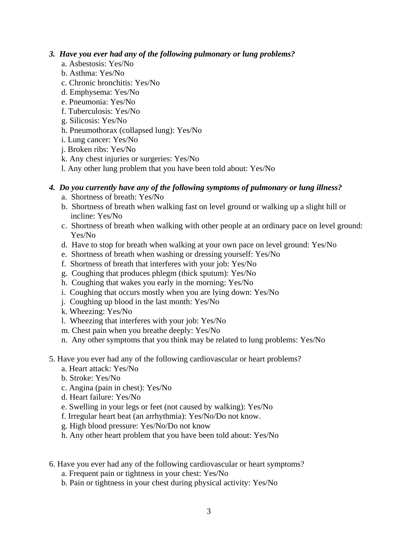#### *3. Have you ever had any of the following pulmonary or lung problems?*

- a. Asbestosis: Yes/No
- b. Asthma: Yes/No
- c. Chronic bronchitis: Yes/No
- d. Emphysema: Yes/No
- e. Pneumonia: Yes/No
- f. Tuberculosis: Yes/No
- g. Silicosis: Yes/No
- h. Pneumothorax (collapsed lung): Yes/No
- i. Lung cancer: Yes/No
- j. Broken ribs: Yes/No
- k. Any chest injuries or surgeries: Yes/No
- l. Any other lung problem that you have been told about: Yes/No

### *4. Do you currently have any of the following symptoms of pulmonary or lung illness?*

- a. Shortness of breath: Yes/No
- b. Shortness of breath when walking fast on level ground or walking up a slight hill or incline: Yes/No
- c. Shortness of breath when walking with other people at an ordinary pace on level ground: Yes/No
- d. Have to stop for breath when walking at your own pace on level ground: Yes/No
- e. Shortness of breath when washing or dressing yourself: Yes/No
- f. Shortness of breath that interferes with your job: Yes/No
- g. Coughing that produces phlegm (thick sputum): Yes/No
- h. Coughing that wakes you early in the morning: Yes/No
- i. Coughing that occurs mostly when you are lying down: Yes/No
- j. Coughing up blood in the last month: Yes/No
- k. Wheezing: Yes/No
- l. Wheezing that interferes with your job: Yes/No
- m. Chest pain when you breathe deeply: Yes/No
- n. Any other symptoms that you think may be related to lung problems: Yes/No
- 5. Have you ever had any of the following cardiovascular or heart problems?
	- a. Heart attack: Yes/No
	- b. Stroke: Yes/No
	- c. Angina (pain in chest): Yes/No
	- d. Heart failure: Yes/No
	- e. Swelling in your legs or feet (not caused by walking): Yes/No
	- f. Irregular heart beat (an arrhythmia): Yes/No/Do not know.
	- g. High blood pressure: Yes/No/Do not know
	- h. Any other heart problem that you have been told about: Yes/No
- 6. Have you ever had any of the following cardiovascular or heart symptoms?
	- a. Frequent pain or tightness in your chest: Yes/No
	- b. Pain or tightness in your chest during physical activity: Yes/No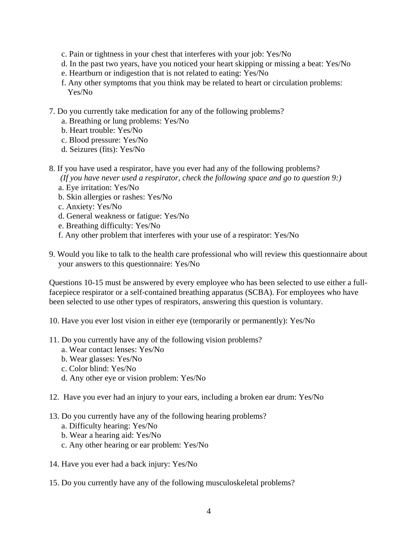- c. Pain or tightness in your chest that interferes with your job: Yes/No
- d. In the past two years, have you noticed your heart skipping or missing a beat: Yes/No
- e. Heartburn or indigestion that is not related to eating: Yes/No
- f. Any other symptoms that you think may be related to heart or circulation problems: Yes/No
- 7. Do you currently take medication for any of the following problems?
	- a. Breathing or lung problems: Yes/No
	- b. Heart trouble: Yes/No
	- c. Blood pressure: Yes/No
	- d. Seizures (fits): Yes/No
- 8. If you have used a respirator, have you ever had any of the following problems?
	- *(If you have never used a respirator, check the following space and go to question 9:)*
	- a. Eye irritation: Yes/No
	- b. Skin allergies or rashes: Yes/No
	- c. Anxiety: Yes/No
	- d. General weakness or fatigue: Yes/No
	- e. Breathing difficulty: Yes/No
	- f. Any other problem that interferes with your use of a respirator: Yes/No
- 9. Would you like to talk to the health care professional who will review this questionnaire about your answers to this questionnaire: Yes/No

Questions 10-15 must be answered by every employee who has been selected to use either a fullfacepiece respirator or a self-contained breathing apparatus (SCBA). For employees who have been selected to use other types of respirators, answering this question is voluntary.

10. Have you ever lost vision in either eye (temporarily or permanently): Yes/No

- 11. Do you currently have any of the following vision problems?
	- a. Wear contact lenses: Yes/No
	- b. Wear glasses: Yes/No
	- c. Color blind: Yes/No
	- d. Any other eye or vision problem: Yes/No
- 12. Have you ever had an injury to your ears, including a broken ear drum: Yes/No
- 13. Do you currently have any of the following hearing problems?
	- a. Difficulty hearing: Yes/No
	- b. Wear a hearing aid: Yes/No
	- c. Any other hearing or ear problem: Yes/No
- 14. Have you ever had a back injury: Yes/No
- 15. Do you currently have any of the following musculoskeletal problems?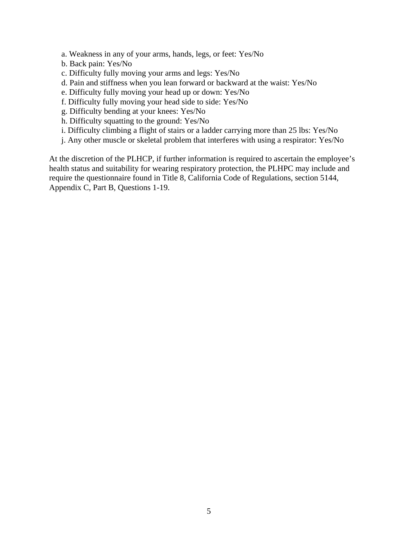- a. Weakness in any of your arms, hands, legs, or feet: Yes/No
- b. Back pain: Yes/No
- c. Difficulty fully moving your arms and legs: Yes/No
- d. Pain and stiffness when you lean forward or backward at the waist: Yes/No
- e. Difficulty fully moving your head up or down: Yes/No
- f. Difficulty fully moving your head side to side: Yes/No
- g. Difficulty bending at your knees: Yes/No
- h. Difficulty squatting to the ground: Yes/No
- i. Difficulty climbing a flight of stairs or a ladder carrying more than 25 lbs: Yes/No
- j. Any other muscle or skeletal problem that interferes with using a respirator: Yes/No

At the discretion of the PLHCP, if further information is required to ascertain the employee's health status and suitability for wearing respiratory protection, the PLHPC may include and require the questionnaire found in Title 8, California Code of Regulations, section 5144, Appendix C, Part B, Questions 1-19.